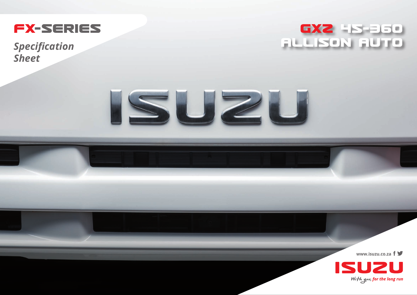

**Specification Sheet** 





www.isuzu.co.za  $f \blacktriangleright$